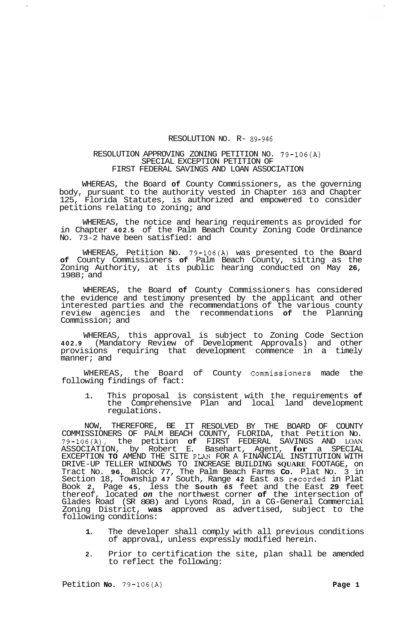## RESOLUTION NO. R- **89-946**

## RESOLUTION APPROVING ZONING PETITION NO. 79-106(A) SPECIAL EXCEPTION PETITION OF FIRST FEDERAL SAVINGS AND LOAN ASSOCIATION

WHEREAS, the Board **of** County Commissioners, as the governing body, pursuant to the authority vested in Chapter 163 and Chapter 125, Florida Statutes, is authorized and empowered to consider petitions relating to zoning; and

WHEREAS, the notice and hearing requirements as provided for in Chapter **402.5** of the Palm Beach County Zoning Code Ordinance No. 73-2 have been satisfied: and

WHEREAS, Petition No. 79-106(A) was presented to the Board **of** County Commissioners **of** Palm Beach County, sitting as the Zoning Authority, at its public hearing conducted on May **26,**  1988; and

WHEREAS, the Board **of** County Commissioners has considered the evidence and testimony presented by the applicant and other interested parties and the recommendations of the various county review agencies and the recommendations **of** the Planning Commission; and

WHEREAS, this approval is subject to Zoning Code Section **402.9** (Mandatory Review of Development Approvals) and other provisions requiring that development commence in a timely manner; and

of County Commissioners made the WHEREAS, the Board<br>following findings of fact:

1. This proposal is consistent with the requirements **of**  the Comprehensive Plan and local land development regulations.

NOW, THEREFORE, BE IT RESOLVED BY THE BOARD OF COUNTY COMMISSIONERS OF PALM BEACH COUNTY, FLORIDA, that Petition No. 79-106(A), the petition **of** FIRST FEDERAL SAVINGS AND LOAN ASSOCIATION, by Robert E. Basehart, Agent, **for** a SPECIAL EXCEPTION **TO** AMEND THE SITE **PL?M** FOR A FINANCIAL INSTITUTION WITH DRIVE-UP TELLER WINDOWS TO INCREASE BUILDING **SQUARE** FOOTAGE, on Tract No. **96,** Block 77, The Palm Beach Farms **Co.** Plat No. 3 in Section 18, Township **47** South, Range **42** East as recorded in Plat Book **2,** Page **45,** less the **South** *65* feet and the East **29** feet thereof, located *on* the northwest corner **of** the intersection of Glades Road (SR 808) and Lyons Road, in a CG-General Commercial Zoning District, **was** approved as advertised, subject to the following conditions:

- **1.** The developer shall comply with all previous conditions of approval, unless expressly modified herein.
- **2.** Prior to certification the site, plan shall be amended to reflect the following:

Petition **No.** 79-106(A) **Page 1 Page 1**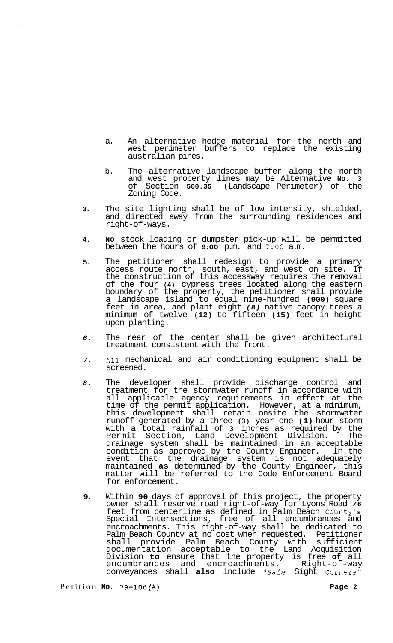- a. An alternative hedge material for the north and west perimeter buffers to replace the existing australian pines.
- b. The alternative landscape buffer along the north and west property lines may be Alternative **No. 3**  of Section **500.35** (Landscape Perimeter) of the Zoning Code.
- **3.**  The site lighting shall be of low intensity, shielded, and directed away from the surrounding residences and right-of-ways.
- **4. No** stock loading or dumpster pick-up will be permitted between the hours of **9:00** p.m. and **7:OO** a.m.
- **5.**  The petitioner shall redesign to provide a primary access route north, south, east, and west on site. If the construction of this accessway requires the removal of the four **(4)** cypress trees located along the eastern boundary of the property, the petitioner shall provide a landscape island to equal nine-hundred **(900)** square feet in area, and plant eight *(8)* native canopy trees a minimum of twelve **(12)** to fifteen **(15)** feet in height upon planting.
- *6.*  The rear of the center shall be given architectural treatment consistent with the front.
- *7.*  All mechanical and air conditioning equipment shall be screened.
- *8.*  The developer shall provide discharge control and treatment for the stormwater runoff in accordance with all applicable agency requirements in effect at the time of the permit application. However, at a minimum, this development shall retain onsite the stormwater runoff generated by a three **(3)** year-one **(1)** hour storm with a total rainfall of **3** inches as required by the Permit Section, Land Development Division. The drainage system shall be maintained in an acceptable condition as approved by the County Engineer. In the event that the drainage system is not adequately maintained **as** determined by the County Engineer, this matter will be referred to the Code Enforcement Board for enforcement.
- **9.**  Within **90** days of approval of this project, the property owner shall reserve road right-of-way for Lyons Road *76*  feet from centerline as defined in Palm Beach County's Special Intersections, free of all encumbrances and encroachments. This right-of-way shall be dedicated to Palm Beach County at no cost when requested. Petitioner shall provide Palm Beach County with sufficient documentation acceptable to the Land Acquisition Division **to** ensure that the property is free **of** all encumbrances and encroachments. Right-of-way conveyances shall also include "Safe Sight Corners"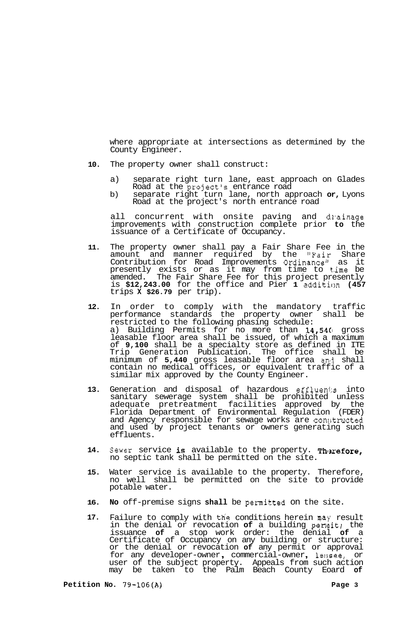where appropriate at intersections as determined by the County Engineer.

- **10.** The property owner shall construct:
	- a) separate right turn lane, east approach on Glades Road at the project's entrance road
	- b) separate right turn lane, north approach **or,** Lyons Road at the project's north entrance road

all concurrent with onsite paving and drainage improvements with construction complete prior **to** the issuance of a Certificate of Occupancy.

- **11.** The property owner shall pay a Fair Share Fee in the amount and manner required by the "Fair Share Contribution for Road Improvements Ordinancell as it presently exists or as it may from time to time be amended. The Fair Share Fee for this project presently is **\$12,243.00** for the office and Pier **1** additicln **(457**  trips **X \$26.79** per trip).
- **12.** In order to comply with the mandatory traffic performance standards the property owner shall be restricted to the following phasing schedule: a) Building Permits for no more than **14,54C1** gross leasable floor area shall be issued, of which a maximum of **9,100** shall be a specialty store as defined in ITE Trip Generation Publication. The office shall be minimum of **5,440** gross leasable floor area an3 shall contain no medical offices, or equivalent traffic of a similar mix approved by the County Engineer.
- 13. Generation and disposal of hazardous effluents into sanitary sewerage system shall be prohibited unless adequate pretreatment facilities approved by the Florida Department of Environmental Regulation (FDER) and Agency responsible for sewage works are constructed and used by project tenants or owners generating such effluents.
- 14. Sewer service is available to the property. Therefore, no septic tank shall be permitted on the site.
- **15.** Water service is available to the property. Therefore, no well shall be permitted on the site to provide potable water.
- **16. No** off-premise signs **shall** be permitted on the site.
- **17.** Failure to comply with **tfie** conditions herein **may** result in the denial or revocation **of** a building permit; the issuance **of** a stop work order: the denial **of** a Certificate of Occupancy on any building or structure: or the denial or revocation **of** any permit or approval for any developer-owner , commercial-owner , le:;see, or user of the subject property. Appeals from such action may be taken to the Palm Beach County Eoard **of**

**Petition No. 79-106(A) Page 3**